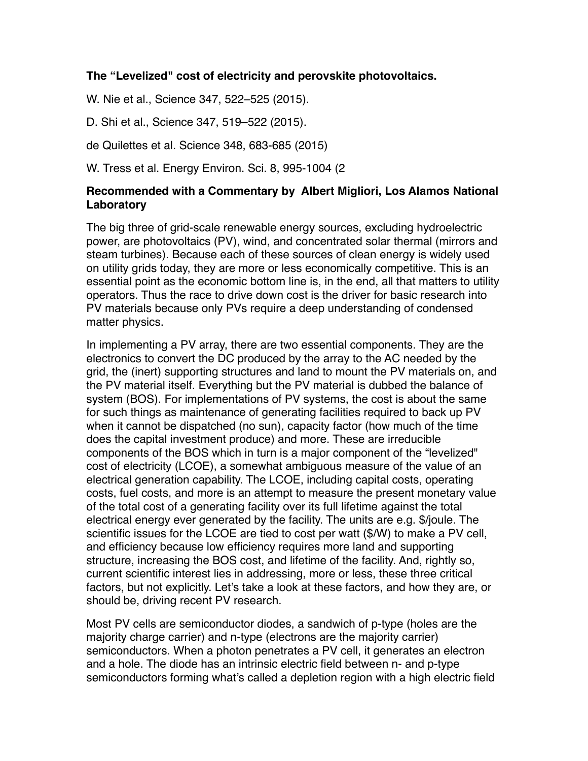## **The "Levelized" cost of electricity and perovskite photovoltaics.**

W. Nie et al., Science 347, 522–525 (2015).

D. Shi et al., Science 347, 519–522 (2015).

de Quilettes et al. Science 348, 683-685 (2015)

W. Tress et al. Energy Environ. Sci. 8, 995-1004 (2

## **Recommended with a Commentary by Albert Migliori, Los Alamos National Laboratory**

The big three of grid-scale renewable energy sources, excluding hydroelectric power, are photovoltaics (PV), wind, and concentrated solar thermal (mirrors and steam turbines). Because each of these sources of clean energy is widely used on utility grids today, they are more or less economically competitive. This is an essential point as the economic bottom line is, in the end, all that matters to utility operators. Thus the race to drive down cost is the driver for basic research into PV materials because only PVs require a deep understanding of condensed matter physics.

In implementing a PV array, there are two essential components. They are the electronics to convert the DC produced by the array to the AC needed by the grid, the (inert) supporting structures and land to mount the PV materials on, and the PV material itself. Everything but the PV material is dubbed the balance of system (BOS). For implementations of PV systems, the cost is about the same for such things as maintenance of generating facilities required to back up PV when it cannot be dispatched (no sun), capacity factor (how much of the time does the capital investment produce) and more. These are irreducible components of the BOS which in turn is a major component of the "levelized" cost of electricity (LCOE), a somewhat ambiguous measure of the value of an electrical generation capability. The LCOE, including capital costs, operating costs, fuel costs, and more is an attempt to measure the present monetary value of the total cost of a generating facility over its full lifetime against the total electrical energy ever generated by the facility. The units are e.g. \$/joule. The scientific issues for the LCOE are tied to cost per watt (\$/W) to make a PV cell, and efficiency because low efficiency requires more land and supporting structure, increasing the BOS cost, and lifetime of the facility. And, rightly so, current scientific interest lies in addressing, more or less, these three critical factors, but not explicitly. Let's take a look at these factors, and how they are, or should be, driving recent PV research.

Most PV cells are semiconductor diodes, a sandwich of p-type (holes are the majority charge carrier) and n-type (electrons are the majority carrier) semiconductors. When a photon penetrates a PV cell, it generates an electron and a hole. The diode has an intrinsic electric field between n- and p-type semiconductors forming what's called a depletion region with a high electric field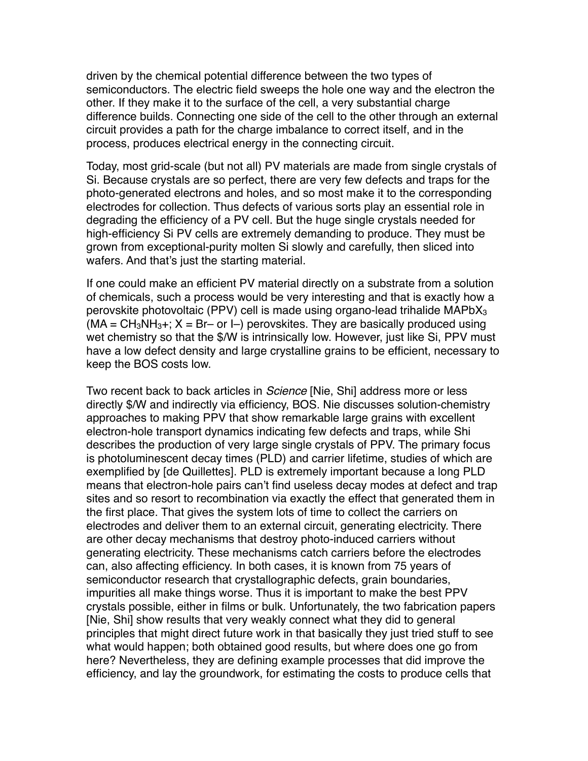driven by the chemical potential difference between the two types of semiconductors. The electric field sweeps the hole one way and the electron the other. If they make it to the surface of the cell, a very substantial charge difference builds. Connecting one side of the cell to the other through an external circuit provides a path for the charge imbalance to correct itself, and in the process, produces electrical energy in the connecting circuit.

Today, most grid-scale (but not all) PV materials are made from single crystals of Si. Because crystals are so perfect, there are very few defects and traps for the photo-generated electrons and holes, and so most make it to the corresponding electrodes for collection. Thus defects of various sorts play an essential role in degrading the efficiency of a PV cell. But the huge single crystals needed for high-efficiency Si PV cells are extremely demanding to produce. They must be grown from exceptional-purity molten Si slowly and carefully, then sliced into wafers. And that's just the starting material.

If one could make an efficient PV material directly on a substrate from a solution of chemicals, such a process would be very interesting and that is exactly how a perovskite photovoltaic (PPV) cell is made using organo-lead trihalide MAPbX3  $(MA = CH<sub>3</sub>NH<sub>3</sub>+; X = Br- or I-)$  perovskites. They are basically produced using wet chemistry so that the \$/W is intrinsically low. However, just like Si, PPV must have a low defect density and large crystalline grains to be efficient, necessary to keep the BOS costs low.

Two recent back to back articles in *Science* [Nie, Shi] address more or less directly \$/W and indirectly via efficiency, BOS. Nie discusses solution-chemistry approaches to making PPV that show remarkable large grains with excellent electron-hole transport dynamics indicating few defects and traps, while Shi describes the production of very large single crystals of PPV. The primary focus is photoluminescent decay times (PLD) and carrier lifetime, studies of which are exemplified by [de Quillettes]. PLD is extremely important because a long PLD means that electron-hole pairs can't find useless decay modes at defect and trap sites and so resort to recombination via exactly the effect that generated them in the first place. That gives the system lots of time to collect the carriers on electrodes and deliver them to an external circuit, generating electricity. There are other decay mechanisms that destroy photo-induced carriers without generating electricity. These mechanisms catch carriers before the electrodes can, also affecting efficiency. In both cases, it is known from 75 years of semiconductor research that crystallographic defects, grain boundaries, impurities all make things worse. Thus it is important to make the best PPV crystals possible, either in films or bulk. Unfortunately, the two fabrication papers [Nie, Shi] show results that very weakly connect what they did to general principles that might direct future work in that basically they just tried stuff to see what would happen; both obtained good results, but where does one go from here? Nevertheless, they are defining example processes that did improve the efficiency, and lay the groundwork, for estimating the costs to produce cells that